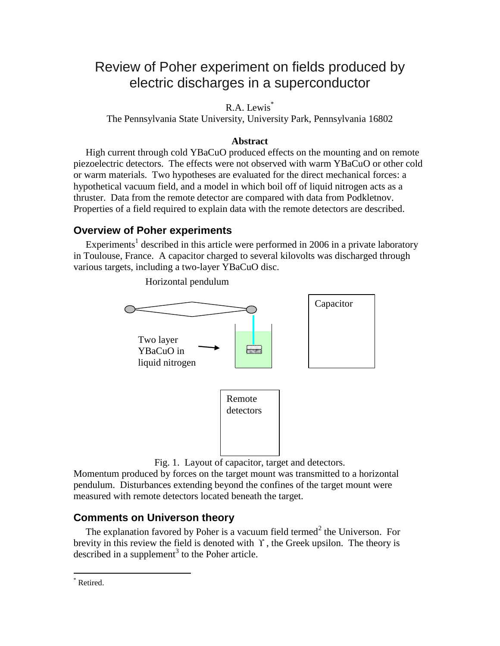# Review of Poher experiment on fields produced by electric discharges in a superconductor

R.A. Lewis<sup>\*</sup>

The Pennsylvania State University, University Park, Pennsylvania 16802

### **Abstract**

 High current through cold YBaCuO produced effects on the mounting and on remote piezoelectric detectors. The effects were not observed with warm YBaCuO or other cold or warm materials. Two hypotheses are evaluated for the direct mechanical forces: a hypothetical vacuum field, and a model in which boil off of liquid nitrogen acts as a thruster. Data from the remote detector are compared with data from Podkletnov. Properties of a field required to explain data with the remote detectors are described.

## **Overview of Poher experiments**

Experiments<sup>1</sup> described in this article were performed in 2006 in a private laboratory in Toulouse, France. A capacitor charged to several kilovolts was discharged through various targets, including a two-layer YBaCuO disc.



Horizontal pendulum

Fig. 1. Layout of capacitor, target and detectors.

Momentum produced by forces on the target mount was transmitted to a horizontal pendulum. Disturbances extending beyond the confines of the target mount were measured with remote detectors located beneath the target.

# **Comments on Universon theory**

The explanation favored by Poher is a vacuum field termed $<sup>2</sup>$  the Universon. For</sup> brevity in this review the field is denoted with  $\Upsilon$ , the Greek upsilon. The theory is described in a supplement<sup>3</sup> to the Poher article.

 $\overline{a}$ 

Retired.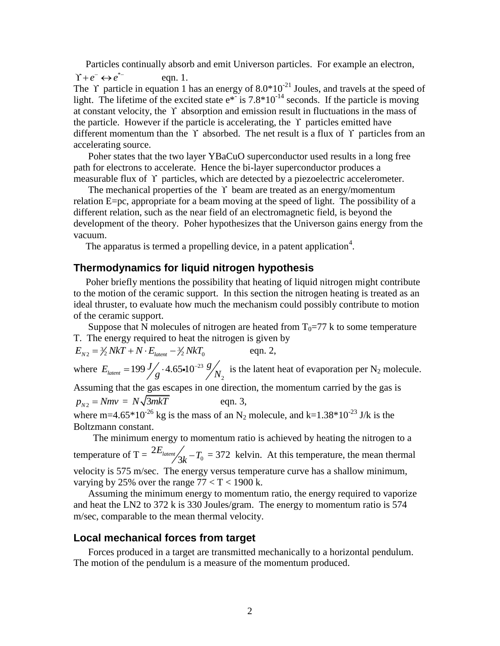Particles continually absorb and emit Universon particles. For example an electron,

 $\Upsilon + e^- \leftrightarrow e^{*}$ eqn. 1. The Y particle in equation 1 has an energy of  $8.0*10<sup>-21</sup>$  Joules, and travels at the speed of light. The lifetime of the excited state  $e^*$  is 7.8\*10<sup>-14</sup> seconds. If the particle is moving at constant velocity, the  $\Upsilon$  absorption and emission result in fluctuations in the mass of the particle. However if the particle is accelerating, the  $\Upsilon$  particles emitted have different momentum than the  $\Upsilon$  absorbed. The net result is a flux of  $\Upsilon$  particles from an accelerating source.

 Poher states that the two layer YBaCuO superconductor used results in a long free path for electrons to accelerate. Hence the bi-layer superconductor produces a measurable flux of Y particles, which are detected by a piezoelectric accelerometer.

The mechanical properties of the  $\Upsilon$  beam are treated as an energy/momentum relation E=pc, appropriate for a beam moving at the speed of light. The possibility of a different relation, such as the near field of an electromagnetic field, is beyond the development of the theory. Poher hypothesizes that the Universon gains energy from the vacuum.

The apparatus is termed a propelling device, in a patent application<sup>4</sup>.

#### **Thermodynamics for liquid nitrogen hypothesis**

 Poher briefly mentions the possibility that heating of liquid nitrogen might contribute to the motion of the ceramic support. In this section the nitrogen heating is treated as an ideal thruster, to evaluate how much the mechanism could possibly contribute to motion of the ceramic support.

Suppose that N molecules of nitrogen are heated from  $T_0=77$  k to some temperature

T. The energy required to heat the nitrogen is given by  
\n
$$
E_{N2} = \frac{3}{2} NkT + N \cdot E_{latent} - \frac{3}{2} NkT_0
$$
 eqn. 2,

where  $E_{\text{latent}} = 199 \frac{J}{\sqrt{2}} \cdot 4.65 \cdot 10^{-23}$  $E_{\text{latent}} = 199 \frac{J}{g} \cdot 4.65 \cdot 10^{-23} \frac{g}{g}$ =  $199 \frac{J}{\omega} \cdot 4.65 \cdot 10^{-23} \frac{g}{N}$  is the latent heat of evaporation per N<sub>2</sub> molecule. Assuming that the gas escapes in one direction, the momentum carried by the gas is

 $p_{N2} = Nmv = N\sqrt{3mkT}$ eqn. 3, where m=4.65\*10<sup>-26</sup> kg is the mass of an N<sub>2</sub> molecule, and k=1.38\*10<sup>-23</sup> J/k is the Boltzmann constant.

 The minimum energy to momentum ratio is achieved by heating the nitrogen to a temperature of T =  $2E_{\text{latement}}/2k - T_0$  $E_{\text{latent}}/3k - T_0 = 372$  kelvin. At this temperature, the mean thermal velocity is 575 m/sec. The energy versus temperature curve has a shallow minimum, varying by 25% over the range  $77 < T < 1900$  k.

 Assuming the minimum energy to momentum ratio, the energy required to vaporize and heat the LN2 to 372 k is 330 Joules/gram. The energy to momentum ratio is 574 m/sec, comparable to the mean thermal velocity.

#### **Local mechanical forces from target**

 Forces produced in a target are transmitted mechanically to a horizontal pendulum. The motion of the pendulum is a measure of the momentum produced.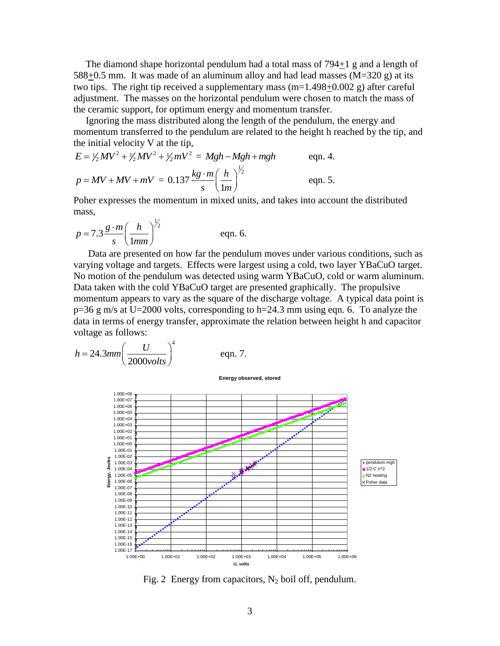The diamond shape horizontal pendulum had a total mass of 794+1 g and a length of  $588+0.5$  mm. It was made of an aluminum alloy and had lead masses (M=320 g) at its two tips. The right tip received a supplementary mass (m=1.498+0.002 g) after careful adjustment. The masses on the horizontal pendulum were chosen to match the mass of the ceramic support, for optimum energy and momentum transfer.

 Ignoring the mass distributed along the length of the pendulum, the energy and momentum transferred to the pendulum are related to the height h reached by the tip, and

the initial velocity V at the tip,  
\n
$$
E = \frac{1}{2}MV^2 + \frac{1}{2}MV^2 + \frac{1}{2}mV^2 = Mgh - Mgh + mgh
$$
 eqn. 4.  
\n
$$
p = MV + MV + mV = 0.137 \frac{kg \cdot m}{s} \left(\frac{h}{1m}\right)^{\frac{1}{2}}
$$
 eqn. 5.

Poher expresses the momentum in mixed units, and takes into account the distributed mass,

$$
p = 7.3 \frac{g \cdot m}{s} \left(\frac{h}{1mm}\right)^{\frac{1}{2}}
$$
 eqn. 6.

 Data are presented on how far the pendulum moves under various conditions, such as varying voltage and targets. Effects were largest using a cold, two layer YBaCuO target. No motion of the pendulum was detected using warm YBaCuO, cold or warm aluminum. Data taken with the cold YBaCuO target are presented graphically. The propulsive momentum appears to vary as the square of the discharge voltage. A typical data point is p=36 g m/s at U=2000 volts, corresponding to h=24.3 mm using eqn. 6. To analyze the data in terms of energy transfer, approximate the relation between height h and capacitor voltage as follows:

$$
h = 24.3 \text{mm} \left(\frac{U}{2000 \text{volts}}\right)^4 \qquad \text{eqn. 7.}
$$

**Energy observed, stored**



Fig. 2 Energy from capacitors,  $N_2$  boil off, pendulum.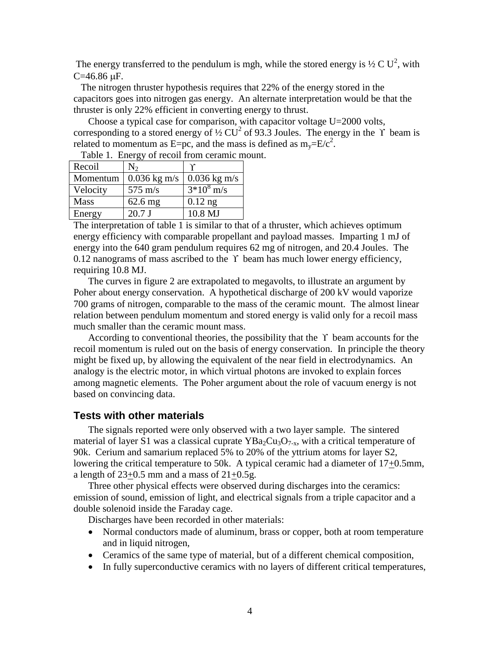The energy transferred to the pendulum is mgh, while the stored energy is  $\frac{1}{2}C U^2$ , with  $C = 46.86 \text{ }\mu\text{F}.$ 

 The nitrogen thruster hypothesis requires that 22% of the energy stored in the capacitors goes into nitrogen gas energy. An alternate interpretation would be that the thruster is only 22% efficient in converting energy to thrust.

 Choose a typical case for comparison, with capacitor voltage U=2000 volts, corresponding to a stored energy of  $\frac{1}{2}$  CU<sup>2</sup> of 93.3 Joules. The energy in the  $\gamma$  beam is related to momentum as E=pc, and the mass is defined as  $m_y=E/c^2$ .

| Recoil      | N <sub>2</sub>    |                |
|-------------|-------------------|----------------|
| Momentum    | $0.036$ kg m/s    | $0.036$ kg m/s |
| Velocity    | $575 \text{ m/s}$ | $3*10^8$ m/s   |
| <b>Mass</b> | $62.6$ mg         | $0.12$ ng      |
| Energy      | 20.7 J            | 10.8 MJ        |

Table 1. Energy of recoil from ceramic mount.

The interpretation of table 1 is similar to that of a thruster, which achieves optimum energy efficiency with comparable propellant and payload masses. Imparting 1 mJ of energy into the 640 gram pendulum requires 62 mg of nitrogen, and 20.4 Joules. The 0.12 nanograms of mass ascribed to the  $\Upsilon$  beam has much lower energy efficiency, requiring 10.8 MJ.

 The curves in figure 2 are extrapolated to megavolts, to illustrate an argument by Poher about energy conservation. A hypothetical discharge of 200 kV would vaporize 700 grams of nitrogen, comparable to the mass of the ceramic mount. The almost linear relation between pendulum momentum and stored energy is valid only for a recoil mass much smaller than the ceramic mount mass.

According to conventional theories, the possibility that the  $\Upsilon$  beam accounts for the recoil momentum is ruled out on the basis of energy conservation. In principle the theory might be fixed up, by allowing the equivalent of the near field in electrodynamics. An analogy is the electric motor, in which virtual photons are invoked to explain forces among magnetic elements. The Poher argument about the role of vacuum energy is not based on convincing data.

#### **Tests with other materials**

 The signals reported were only observed with a two layer sample. The sintered material of layer S1 was a classical cuprate  $YBa_2Cu_3O_{7-x}$ , with a critical temperature of 90k. Cerium and samarium replaced 5% to 20% of the yttrium atoms for layer S2, lowering the critical temperature to 50k. A typical ceramic had a diameter of  $17+0.5$ mm, a length of  $23+0.5$  mm and a mass of  $21+0.5$ g.

 Three other physical effects were observed during discharges into the ceramics: emission of sound, emission of light, and electrical signals from a triple capacitor and a double solenoid inside the Faraday cage.

Discharges have been recorded in other materials:

- Normal conductors made of aluminum, brass or copper, both at room temperature and in liquid nitrogen,
- Ceramics of the same type of material, but of a different chemical composition,
- In fully superconductive ceramics with no layers of different critical temperatures,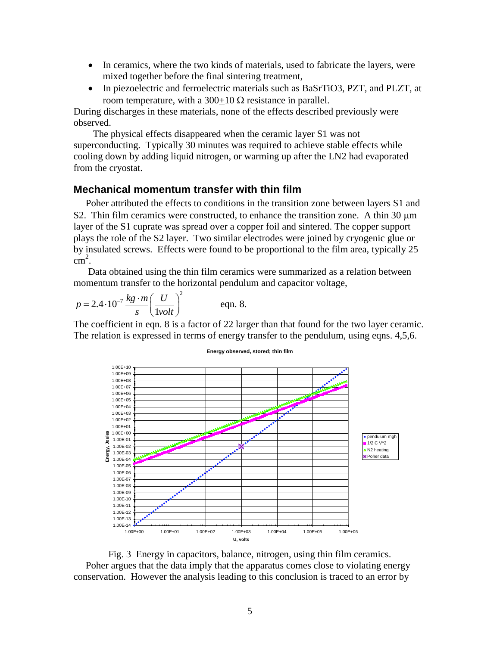- In ceramics, where the two kinds of materials, used to fabricate the layers, were mixed together before the final sintering treatment,
- In piezoelectric and ferroelectric materials such as BaSrTiO3, PZT, and PLZT, at room temperature, with a 300+10  $\Omega$  resistance in parallel.

During discharges in these materials, none of the effects described previously were observed.

 The physical effects disappeared when the ceramic layer S1 was not superconducting. Typically 30 minutes was required to achieve stable effects while cooling down by adding liquid nitrogen, or warming up after the LN2 had evaporated from the cryostat.

#### **Mechanical momentum transfer with thin film**

 Poher attributed the effects to conditions in the transition zone between layers S1 and S2. Thin film ceramics were constructed, to enhance the transition zone. A thin  $30 \mu m$ layer of the S1 cuprate was spread over a copper foil and sintered. The copper support plays the role of the S2 layer. Two similar electrodes were joined by cryogenic glue or by insulated screws. Effects were found to be proportional to the film area, typically 25  $\text{cm}^2$ .

 Data obtained using the thin film ceramics were summarized as a relation between momentum transfer to the horizontal pendulum and capacitor voltage,

$$
p = 2.4 \cdot 10^{-7} \frac{kg \cdot m}{s} \left(\frac{U}{1 \text{vol}t}\right)^2 \qquad \text{eqn. 8.}
$$

The coefficient in eqn. 8 is a factor of 22 larger than that found for the two layer ceramic. The relation is expressed in terms of energy transfer to the pendulum, using eqns. 4,5,6.



**Energy observed, stored; thin film**

Fig. 3 Energy in capacitors, balance, nitrogen, using thin film ceramics. Poher argues that the data imply that the apparatus comes close to violating energy conservation. However the analysis leading to this conclusion is traced to an error by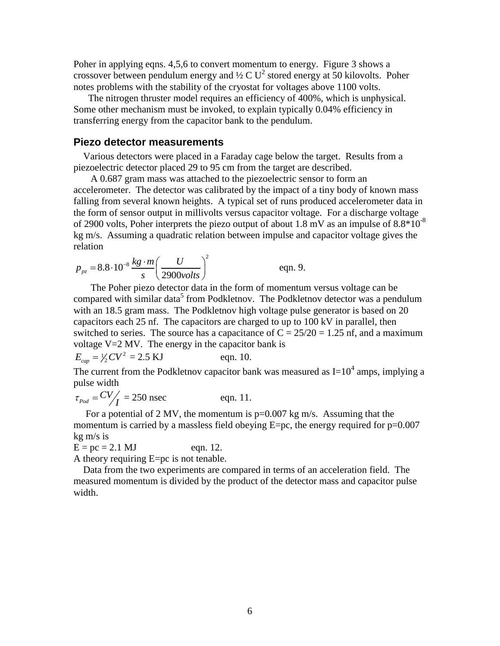Poher in applying eqns. 4,5,6 to convert momentum to energy. Figure 3 shows a crossover between pendulum energy and  $\frac{1}{2}$  C U<sup>2</sup> stored energy at 50 kilovolts. Poher notes problems with the stability of the cryostat for voltages above 1100 volts.

 The nitrogen thruster model requires an efficiency of 400%, which is unphysical. Some other mechanism must be invoked, to explain typically 0.04% efficiency in transferring energy from the capacitor bank to the pendulum.

#### **Piezo detector measurements**

 Various detectors were placed in a Faraday cage below the target. Results from a piezoelectric detector placed 29 to 95 cm from the target are described.

 A 0.687 gram mass was attached to the piezoelectric sensor to form an accelerometer. The detector was calibrated by the impact of a tiny body of known mass falling from several known heights. A typical set of runs produced accelerometer data in the form of sensor output in millivolts versus capacitor voltage. For a discharge voltage of 2900 volts, Poher interprets the piezo output of about 1.8 mV as an impulse of  $8.8*10^{-8}$ kg m/s. Assuming a quadratic relation between impulse and capacitor voltage gives the relation

$$
p_{pz} = 8.8 \cdot 10^{-8} \frac{kg \cdot m}{s} \left(\frac{U}{2900 \text{volts}}\right)^2 \qquad \text{eqn. 9.}
$$

 The Poher piezo detector data in the form of momentum versus voltage can be compared with similar data<sup>5</sup> from Podkletnov. The Podkletnov detector was a pendulum with an 18.5 gram mass. The Podkletnov high voltage pulse generator is based on 20 capacitors each 25 nf. The capacitors are charged to up to 100 kV in parallel, then switched to series. The source has a capacitance of  $C = 25/20 = 1.25$  nf, and a maximum voltage  $V=2$  MV. The energy in the capacitor bank is

$$
E_{cap} = V_2 CV^2 = 2.5 \text{ KJ}
$$
 eqn. 10.

The current from the Podkletnov capacitor bank was measured as  $I=10^4$  amps, implying a pulse width

$$
\tau_{\text{Pod}} = \frac{CV}{I} = 250 \text{ nsec} \qquad \text{eqn. 11.}
$$

For a potential of 2 MV, the momentum is  $p=0.007$  kg m/s. Assuming that the momentum is carried by a massless field obeying  $E=pc$ , the energy required for  $p=0.007$ kg m/s is

 $E = pc = 2.1 \text{ MJ}$  eqn. 12.

A theory requiring E=pc is not tenable.

 Data from the two experiments are compared in terms of an acceleration field. The measured momentum is divided by the product of the detector mass and capacitor pulse width.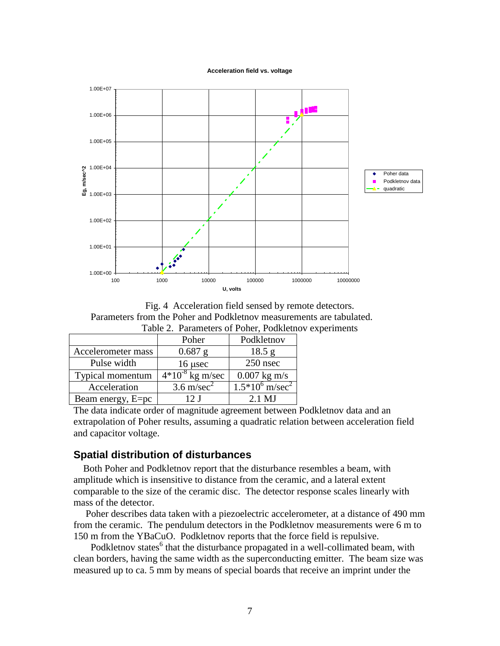



Fig. 4 Acceleration field sensed by remote detectors. Parameters from the Poher and Podkletnov measurements are tabulated. Table 2. Parameters of Poher, Podkletnov experiments

|                    | Poher                 | Podkletnov                    |
|--------------------|-----------------------|-------------------------------|
| Accelerometer mass | $0.687$ g             | 18.5 g                        |
| Pulse width        | $16$ µsec             | 250 nsec                      |
| Typical momentum   | $4*10-8$ kg m/sec     | $0.007$ kg m/s                |
| Acceleration       | $3.6 \text{ m/sec}^2$ | $1.5*10^6$ m/sec <sup>2</sup> |
| Beam energy, E=pc  | 12 I                  | $2.1$ MJ                      |

The data indicate order of magnitude agreement between Podkletnov data and an extrapolation of Poher results, assuming a quadratic relation between acceleration field and capacitor voltage.

# **Spatial distribution of disturbances**

 Both Poher and Podkletnov report that the disturbance resembles a beam, with amplitude which is insensitive to distance from the ceramic, and a lateral extent comparable to the size of the ceramic disc. The detector response scales linearly with mass of the detector.

 Poher describes data taken with a piezoelectric accelerometer, at a distance of 490 mm from the ceramic. The pendulum detectors in the Podkletnov measurements were 6 m to 150 m from the YBaCuO. Podkletnov reports that the force field is repulsive.

Podkletnov states $<sup>6</sup>$  that the disturbance propagated in a well-collimated beam, with</sup> clean borders, having the same width as the superconducting emitter. The beam size was measured up to ca. 5 mm by means of special boards that receive an imprint under the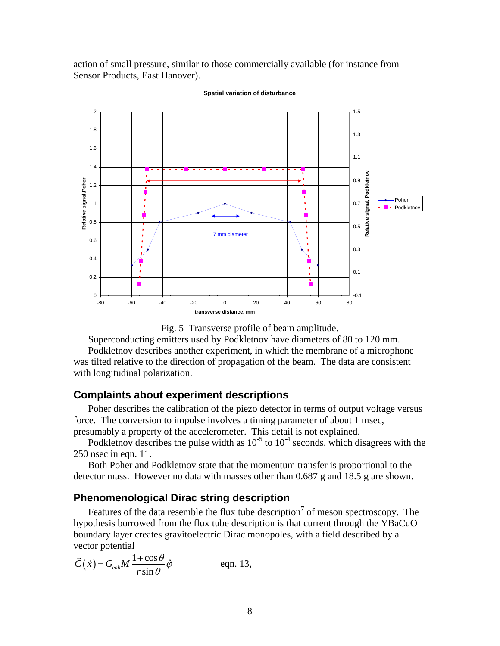action of small pressure, similar to those commercially available (for instance from Sensor Products, East Hanover).



**Spatial variation of disturbance**

Fig. 5 Transverse profile of beam amplitude.

Superconducting emitters used by Podkletnov have diameters of 80 to 120 mm.

 Podkletnov describes another experiment, in which the membrane of a microphone was tilted relative to the direction of propagation of the beam. The data are consistent with longitudinal polarization.

#### **Complaints about experiment descriptions**

 Poher describes the calibration of the piezo detector in terms of output voltage versus force. The conversion to impulse involves a timing parameter of about 1 msec, presumably a property of the accelerometer. This detail is not explained.

Podkletnov describes the pulse width as  $10^{-5}$  to  $10^{-4}$  seconds, which disagrees with the 250 nsec in eqn. 11.

 Both Poher and Podkletnov state that the momentum transfer is proportional to the detector mass. However no data with masses other than 0.687 g and 18.5 g are shown.

## **Phenomenological Dirac string description**

Features of the data resemble the flux tube description<sup>7</sup> of meson spectroscopy. The hypothesis borrowed from the flux tube description is that current through the YBaCuO boundary layer creates gravitoelectric Dirac monopoles, with a field described by a vector potential

$$
\vec{C}(\vec{x}) = G_{enh} M \frac{1 + \cos \theta}{r \sin \theta} \hat{\varphi}
$$
 eqn. 13,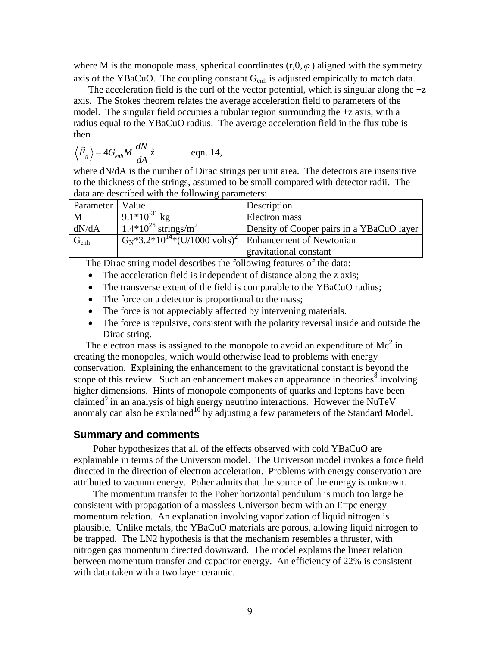where M is the monopole mass, spherical coordinates  $(r, \theta, \varphi)$  aligned with the symmetry axis of the YBaCuO. The coupling constant  $G_{enh}$  is adjusted empirically to match data.

The acceleration field is the curl of the vector potential, which is singular along the  $+z$ axis. The Stokes theorem relates the average acceleration field to parameters of the model. The singular field occupies a tubular region surrounding the +z axis, with a radius equal to the YBaCuO radius. The average acceleration field in the flux tube is then

$$
\langle \vec{E}_g \rangle = 4G_{enh}M \frac{dN}{dA} \hat{z}
$$
 eqn. 14,

where  $dN/dA$  is the number of Dirac strings per unit area. The detectors are insensitive to the thickness of the strings, assumed to be small compared with detector radii. The data are described with the following parameters:

| Parameter   Value |                                                                                        | Description                               |
|-------------------|----------------------------------------------------------------------------------------|-------------------------------------------|
| M                 | $9.1*10^{-31}$ kg                                                                      | Electron mass                             |
| dN/dA             | $\sqrt{1.4*10^{25}}$ strings/m <sup>2</sup>                                            | Density of Cooper pairs in a YBaCuO laver |
| $G_{enh}$         | $\overline{G_N^*3.2^*10^{14*}}$ (U/1000 volts) <sup>2</sup>   Enhancement of Newtonian |                                           |
|                   |                                                                                        | gravitational constant                    |

The Dirac string model describes the following features of the data:

- The acceleration field is independent of distance along the z axis;
- The transverse extent of the field is comparable to the YBaCuO radius;
- The force on a detector is proportional to the mass;
- The force is not appreciably affected by intervening materials.
- The force is repulsive, consistent with the polarity reversal inside and outside the Dirac string.

The electron mass is assigned to the monopole to avoid an expenditure of  $Mc^2$  in creating the monopoles, which would otherwise lead to problems with energy conservation. Explaining the enhancement to the gravitational constant is beyond the scope of this review. Such an enhancement makes an appearance in theories<sup>8</sup> involving higher dimensions. Hints of monopole components of quarks and leptons have been claimed<sup>9</sup> in an analysis of high energy neutrino interactions. However the NuTeV anomaly can also be explained<sup>10</sup> by adjusting a few parameters of the Standard Model.

#### **Summary and comments**

 Poher hypothesizes that all of the effects observed with cold YBaCuO are explainable in terms of the Universon model. The Universon model invokes a force field directed in the direction of electron acceleration. Problems with energy conservation are attributed to vacuum energy. Poher admits that the source of the energy is unknown.

 The momentum transfer to the Poher horizontal pendulum is much too large be consistent with propagation of a massless Universon beam with an  $E=pc$  energy momentum relation. An explanation involving vaporization of liquid nitrogen is plausible. Unlike metals, the YBaCuO materials are porous, allowing liquid nitrogen to be trapped. The LN2 hypothesis is that the mechanism resembles a thruster, with nitrogen gas momentum directed downward. The model explains the linear relation between momentum transfer and capacitor energy. An efficiency of 22% is consistent with data taken with a two layer ceramic.